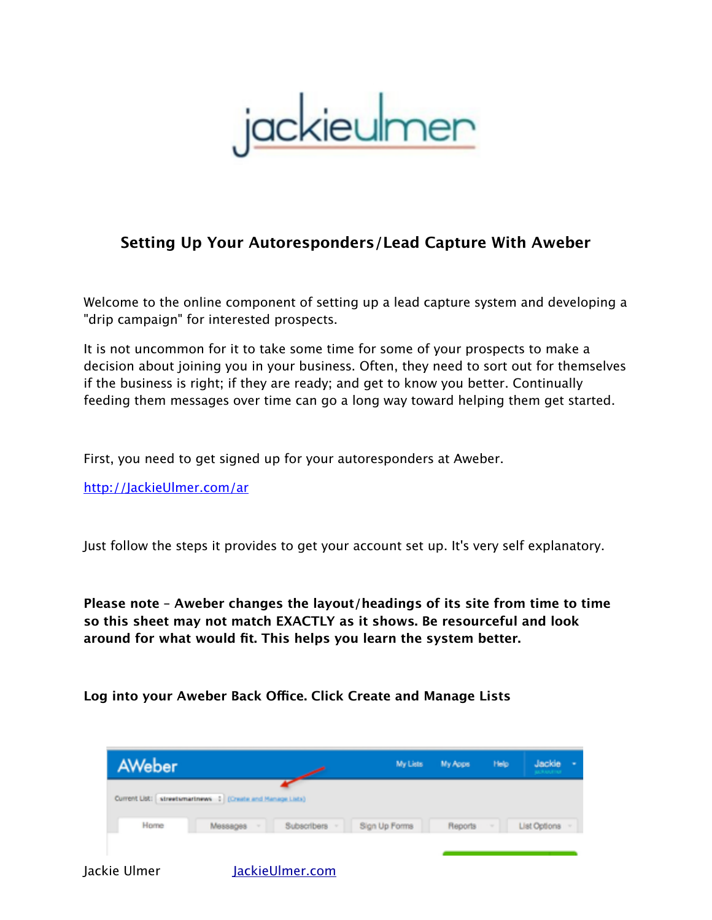jackieumen

# **Setting Up Your Autoresponders/Lead Capture With Aweber**

Welcome to the online component of setting up a lead capture system and developing a "drip campaign" for interested prospects.

It is not uncommon for it to take some time for some of your prospects to make a decision about joining you in your business. Often, they need to sort out for themselves if the business is right; if they are ready; and get to know you better. Continually feeding them messages over time can go a long way toward helping them get started.

First, you need to get signed up for your autoresponders at Aweber.

<http://JackieUlmer.com/ar>

Just follow the steps it provides to get your account set up. It's very self explanatory.

**Please note – Aweber changes the layout/headings of its site from time to time so this sheet may not match EXACTLY as it shows. Be resourceful and look around for what would fit. This helps you learn the system better.**

**Log into your Aweber Back Ofce. Click Create and Manage Lists**

| <b>AWeber</b> |                                                               |                 | My Lists      | <b>My Apps</b> | Help   | Jackie       |  |
|---------------|---------------------------------------------------------------|-----------------|---------------|----------------|--------|--------------|--|
|               | Current List:   streetsmartnews   2 (Create and Manage Lists) |                 |               |                |        |              |  |
| Home          | Messages<br>$\sim$                                            | Subscribers -   | Sign Up Forms | <b>Reports</b> | $\sim$ | List Options |  |
| Jackie Ulmer  |                                                               | JackieUlmer.com |               |                |        |              |  |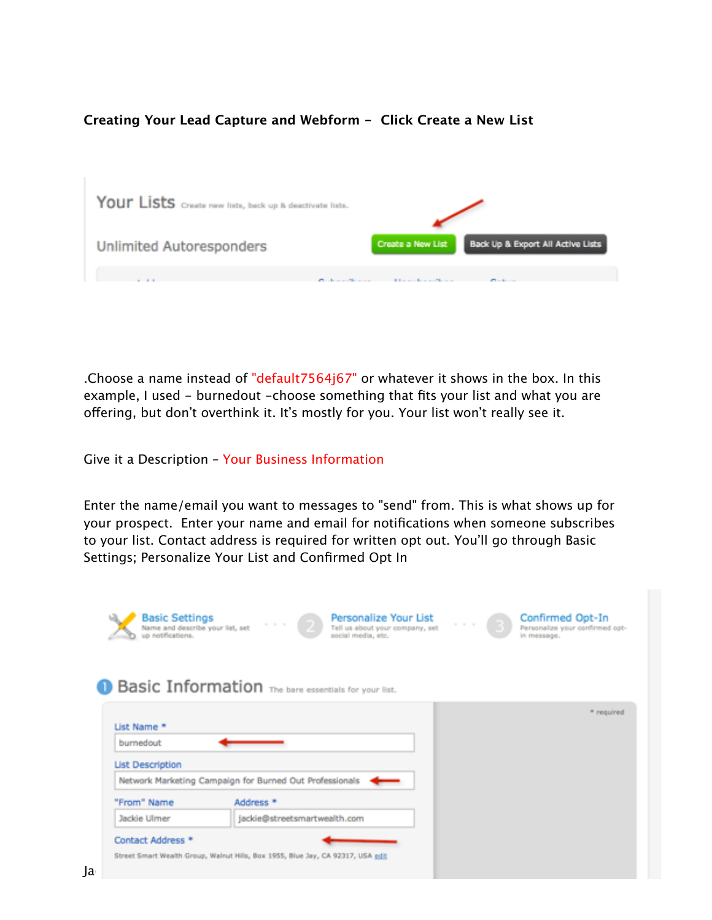**Creating Your Lead Capture and Webform - Click Create a New List**



.Choose a name instead of "default7564j67" or whatever it shows in the box. In this example, I used - burnedout -choose something that fits your list and what you are ofering, but don't overthink it. It's mostly for you. Your list won't really see it.

Give it a Description – Your Business Information

Enter the name/email you want to messages to "send" from. This is what shows up for your prospect. Enter your name and email for notifications when someone subscribes to your list. Contact address is required for written opt out. You'll go through Basic Settings; Personalize Your List and Confirmed Opt In

| Basic Information The bare essentials for your list.                            |  |            |
|---------------------------------------------------------------------------------|--|------------|
|                                                                                 |  |            |
|                                                                                 |  |            |
|                                                                                 |  | * required |
| List Name *                                                                     |  |            |
| burnedout                                                                       |  |            |
| <b>List Description</b>                                                         |  |            |
| Network Marketing Campaign for Burned Out Professionals                         |  |            |
| "From" Name<br>Address <sup>*</sup>                                             |  |            |
| jackie@streetsmartwealth.com<br>Jackie Ulmer                                    |  |            |
| Contact Address *                                                               |  |            |
| Street Smart Wealth Group, Walnut Hills, Box 1955, Blue Jay, CA 92317, USA edit |  |            |
|                                                                                 |  |            |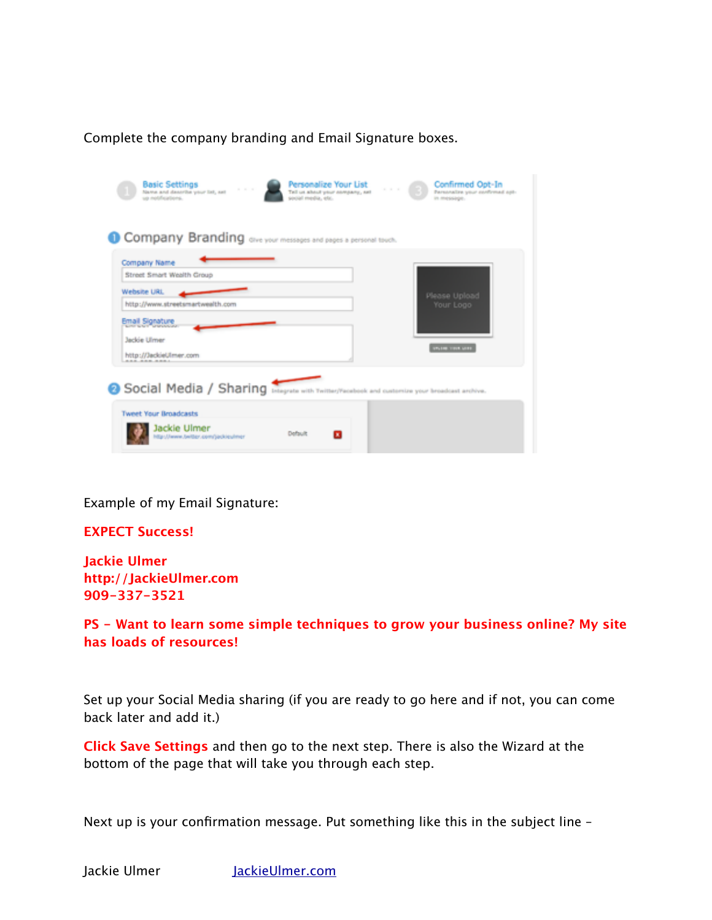Complete the company branding and Email Signature boxes.

| <b>Basic Settings</b><br>Personalize Your List<br>Confirmed Opt-In<br>a a a<br>.<br>Name and describe your list, set<br>Tell us about your company, set<br>Personalize your confirmed opt-<br>us notifications.<br>social media, etc.<br>in message. |  |
|------------------------------------------------------------------------------------------------------------------------------------------------------------------------------------------------------------------------------------------------------|--|
| Company Branding over your messages and pages a personal touch.                                                                                                                                                                                      |  |
| Company Name<br>Street Smart Wealth Group                                                                                                                                                                                                            |  |
| Website URL<br>Please Upload<br>http://www.streetsmartwealth.com<br>Your Logo                                                                                                                                                                        |  |
| Email Signature<br>Jackie Ulmer                                                                                                                                                                                                                      |  |
| <b>INVESTIGATION</b><br>http://JackieUlmer.com<br><b>CAR_RAM_RAMA</b>                                                                                                                                                                                |  |
| Social Media / Sharing integrate with Twitter/Facebook and customize your broadcast archive.                                                                                                                                                         |  |
| <b>Tweet Your Broadcasts</b>                                                                                                                                                                                                                         |  |
| Jackie Ulmer<br>Default<br>http://www.bwitter.com/jackieuhner                                                                                                                                                                                        |  |

Example of my Email Signature:

**EXPECT Success!**

**Jackie Ulmer http://JackieUlmer.com 909-337-3521**

**PS - Want to learn some simple techniques to grow your business online? My site has loads of resources!**

Set up your Social Media sharing (if you are ready to go here and if not, you can come back later and add it.)

**Click Save Settings** and then go to the next step. There is also the Wizard at the bottom of the page that will take you through each step.

Next up is your confirmation message. Put something like this in the subject line –

Jackie Ulmer JackieUlmer.com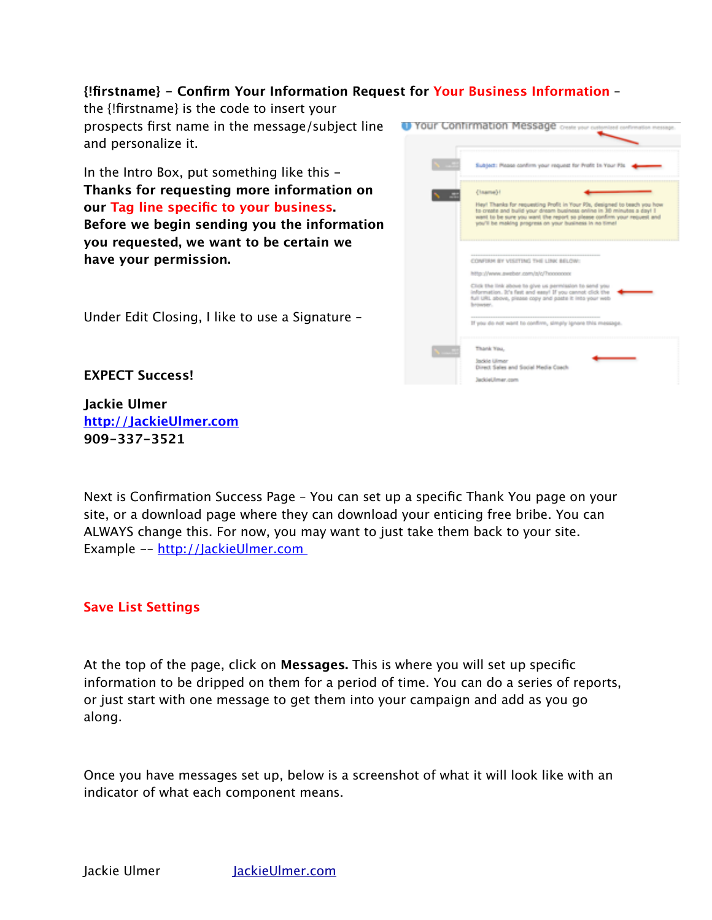## **{!firstname} - Confirm Your Information Request for Your Business Information** –

the {!firstname} is the code to insert your prospects first name in the message/subject line and personalize it.

In the Intro Box, put something like this - **Thanks for requesting more information on our Tag line specific to your business. Before we begin sending you the information you requested, we want to be certain we have your permission.**





**EXPECT Success!**

**Jackie Ulmer http://JackieUlmer.com 909-337-3521**

Next is Confirmation Success Page – You can set up a specific Thank You page on your site, or a download page where they can download your enticing free bribe. You can ALWAYS change this. For now, you may want to just take them back to your site. Example -– http://JackieUlmer.com

### **Save List Settings**

At the top of the page, click on **Messages.** This is where you will set up specific information to be dripped on them for a period of time. You can do a series of reports, or just start with one message to get them into your campaign and add as you go along.

Once you have messages set up, below is a screenshot of what it will look like with an indicator of what each component means.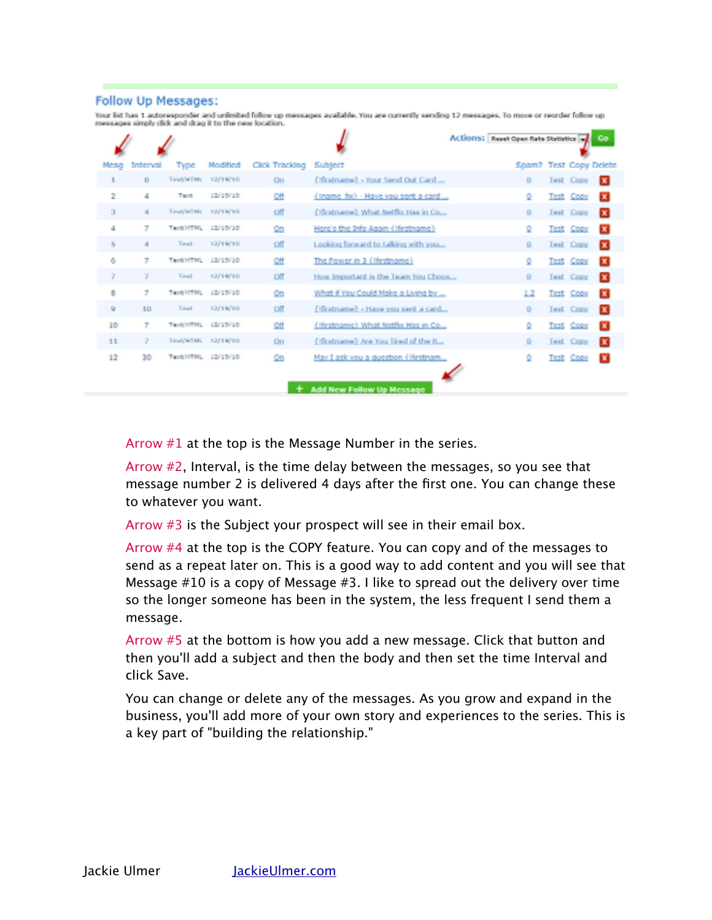#### **Follow Up Messages:**

Your list has 1 autoresponder and unlimited follow up messages available. You are currently sending 12 messages. To move or reorder follow up messages simply dick and drag it to the new location.

|      |          |             |          |                |                                       | Actions: Reset Open Rate Statistics |           |                  | Go.          |
|------|----------|-------------|----------|----------------|---------------------------------------|-------------------------------------|-----------|------------------|--------------|
| Mesa | Interval | <b>Type</b> | Modified | Click Tracking | Subject                               | Spam? Test Copy Delete              |           |                  |              |
|      | o        | Teat/WTML   | 12/19/10 | On             | (Ifirstname) - Your Send Out Card     | ۰                                   |           | Test Copy        | α            |
| 2    | 4        | Text        | 12/15/10 | Off            | {Iname_fix} - Have you sent a card    | ٥                                   |           | Test Copy        | $\mathbf{x}$ |
| а    | 4        | Total/WTML  | 12/19/10 | Off            | (Hintmanne) What Netflix Has in Co.,  | ۰                                   |           | Test Copy        | ×            |
| 4    | 7        | Text/HTML   | 12/19/10 | Q <sub>0</sub> | Here's the Info Again (Ifirstname)    | Q                                   |           | Test Copy        | $\mathbf{x}$ |
| s    | 4        | Teat        | 12/19/10 | Off            | Looking forward to talking with you   | ۰                                   |           | <b>Test Copy</b> | в            |
| ō    | 7        | Text/HTML   | 12/19/10 | Off            | The Power in 3 (Ifirstname)           | Q                                   |           | Test Copy        | $\mathbf{x}$ |
| 7    | 7        | Teat        | 12/19/10 | off            | How Important is the Team You Choos   | ۰                                   |           | Test Copy        | в            |
| ġ    | 7        | Tax6/HTML   | 12/19/10 | Qn             | What if You Could Make a Living by    | 1.2                                 |           | Test Copy        | $\mathbf{x}$ |
| ٠    | 10       | Teat        | 12/19/10 | off            | (Ifirstname) - Have you sent a card   | ۰                                   |           | Test Copy        | в            |
| 10   | 7        | Tent/INTML  | 12/19/18 | Ωff            | (Thrstname) What Netflix Has in Co    | ٥                                   | Test Copy |                  | м            |
| 11   | 7        | Teat/HTML   | 12/19/10 | $^{00}$        | (Ifirstname) Are You Tired of the R., | ۰                                   |           | Test Copy        | α            |
| 12   | 30       | Text/ITML   | 12/15/10 | $\Omega$       | May I ask you a question (lifestnam   | ō                                   |           | Test Copy        | $\mathbf{x}$ |
|      |          |             |          |                | <b>Add New Follow Up Message</b>      |                                     |           |                  |              |

Arrow #1 at the top is the Message Number in the series.

Arrow #2, Interval, is the time delay between the messages, so you see that message number 2 is delivered 4 days after the first one. You can change these to whatever you want.

Arrow  $#3$  is the Subject your prospect will see in their email box.

Arrow #4 at the top is the COPY feature. You can copy and of the messages to send as a repeat later on. This is a good way to add content and you will see that Message #10 is a copy of Message #3. I like to spread out the delivery over time so the longer someone has been in the system, the less frequent I send them a message.

Arrow #5 at the bottom is how you add a new message. Click that button and then you'll add a subject and then the body and then set the time Interval and click Save.

You can change or delete any of the messages. As you grow and expand in the business, you'll add more of your own story and experiences to the series. This is a key part of "building the relationship."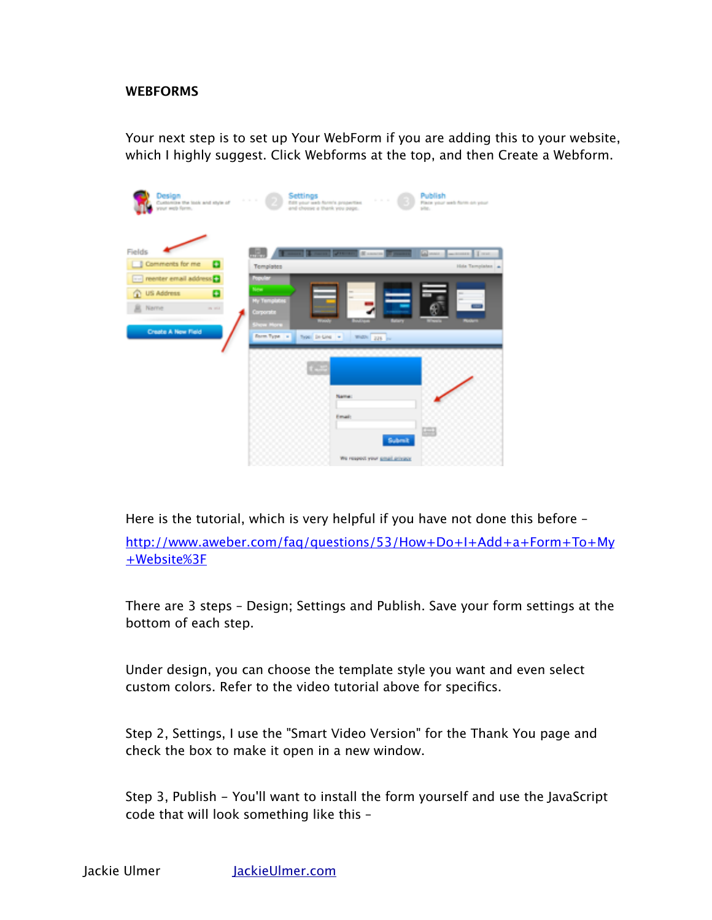### **WEBFORMS**

Your next step is to set up Your WebForm if you are adding this to your website, which I highly suggest. Click Webforms at the top, and then Create a Webform.

| Design<br>Customize the look and style of                            | Settings<br>Publish<br>a ser<br><b>COLLEGE</b><br>Edit your web form's properties<br>Place your seek form on your<br>and choose a thank you page.<br>pite. |  |
|----------------------------------------------------------------------|------------------------------------------------------------------------------------------------------------------------------------------------------------|--|
| Fields<br>Comments for me<br>۰<br>-- reenter email address           | orien 1<br>sons de consideration<br>$-$ 100 $\sqrt{2}$<br>ш<br>Templates<br>Hida Tamplates 4<br><b><i><u>Postular</u></i></b>                              |  |
| <b>US Address</b><br>۰<br>m<br>Name<br>in will<br>Create A New Field | New<br>My Templates<br>Corporate<br><b>Bears</b><br><b>Show More</b><br><b>Room Type</b> is<br>Type: Dr-Line +<br>WADN 225 PM                              |  |
|                                                                      |                                                                                                                                                            |  |
|                                                                      | Name:<br>Email:<br>鸣<br>Submit                                                                                                                             |  |
|                                                                      | We respect your <u>small privacy</u>                                                                                                                       |  |

Here is the tutorial, which is very helpful if you have not done this before –

http://www.aweber.com/faq/questions/53/How+Do+I+Add+a+Form+To+My +Website%3F

There are 3 steps – Design; Settings and Publish. Save your form settings at the bottom of each step.

Under design, you can choose the template style you want and even select custom colors. Refer to the video tutorial above for specifics.

Step 2, Settings, I use the "Smart Video Version" for the Thank You page and check the box to make it open in a new window.

Step 3, Publish - You'll want to install the form yourself and use the JavaScript code that will look something like this –